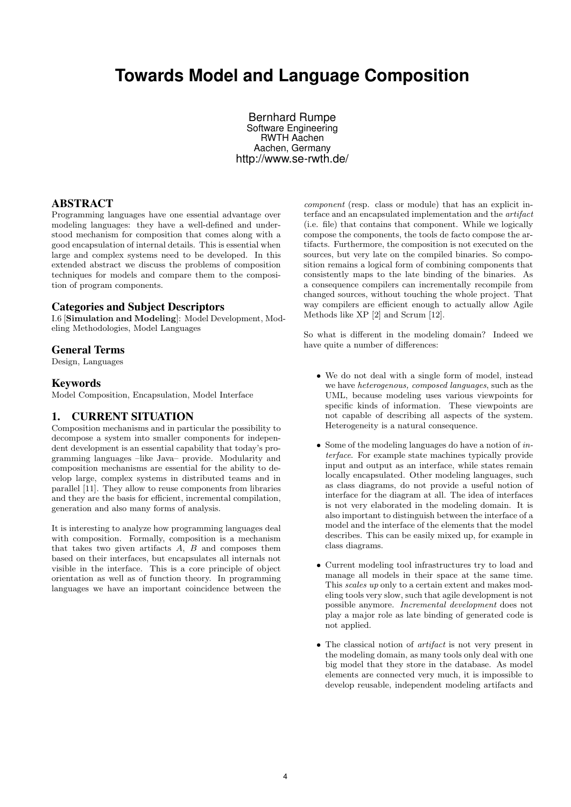# **Towards Model and Language Composition**

Bernhard Rumpe Software Engineering RWTH Aachen Aachen, Germany http://www.se-rwth.de/

## ABSTRACT

Programming languages have one essential advantage over modeling languages: they have a well-defined and understood mechanism for composition that comes along with a good encapsulation of internal details. This is essential when large and complex systems need to be developed. In this extended abstract we discuss the problems of composition techniques for models and compare them to the composition of program components.

#### Categories and Subject Descriptors

I.6 [Simulation and Modeling]: Model Development, Modeling Methodologies, Model Languages

## General Terms

Design, Languages

#### Keywords

Model Composition, Encapsulation, Model Interface

### 1. CURRENT SITUATION

Composition mechanisms and in particular the possibility to decompose a system into smaller components for independent development is an essential capability that today's programming languages –like Java– provide. Modularity and composition mechanisms are essential for the ability to develop large, complex systems in distributed teams and in parallel [11]. They allow to reuse components from libraries and they are the basis for efficient, incremental compilation, generation and also many forms of analysis.

It is interesting to analyze how programming languages deal with composition. Formally, composition is a mechanism that takes two given artifacts A, B and composes them based on their interfaces, but encapsulates all internals not visible in the interface. This is a core principle of object orientation as well as of function theory. In programming languages we have an important coincidence between the

component (resp. class or module) that has an explicit interface and an encapsulated implementation and the artifact (i.e. file) that contains that component. While we logically compose the components, the tools de facto compose the artifacts. Furthermore, the composition is not executed on the sources, but very late on the compiled binaries. So composition remains a logical form of combining components that consistently maps to the late binding of the binaries. As a consequence compilers can incrementally recompile from changed sources, without touching the whole project. That way compilers are efficient enough to actually allow Agile Methods like XP [2] and Scrum [12].

So what is different in the modeling domain? Indeed we have quite a number of differences:

- We do not deal with a single form of model, instead we have heterogenous, composed languages, such as the UML, because modeling uses various viewpoints for specific kinds of information. These viewpoints are not capable of describing all aspects of the system. Heterogeneity is a natural consequence.
- Some of the modeling languages do have a notion of interface. For example state machines typically provide input and output as an interface, while states remain locally encapsulated. Other modeling languages, such as class diagrams, do not provide a useful notion of interface for the diagram at all. The idea of interfaces is not very elaborated in the modeling domain. It is also important to distinguish between the interface of a model and the interface of the elements that the model describes. This can be easily mixed up, for example in class diagrams.
- Current modeling tool infrastructures try to load and manage all models in their space at the same time. This scales up only to a certain extent and makes modeling tools very slow, such that agile development is not possible anymore. Incremental development does not play a major role as late binding of generated code is not applied.
- The classical notion of artifact is not very present in the modeling domain, as many tools only deal with one big model that they store in the database. As model elements are connected very much, it is impossible to develop reusable, independent modeling artifacts and



[Rum13] B. Rumpe Towards Model and Language Composition. In: GlobalDSL '13 Proceedings of the First Workshop on the Globalization of Domain Specific Languages, ACM New York, NY, USA ©2013, pages 4-7, ISBN: 978-1-4503-2043-6. www.se-rwth.de/publications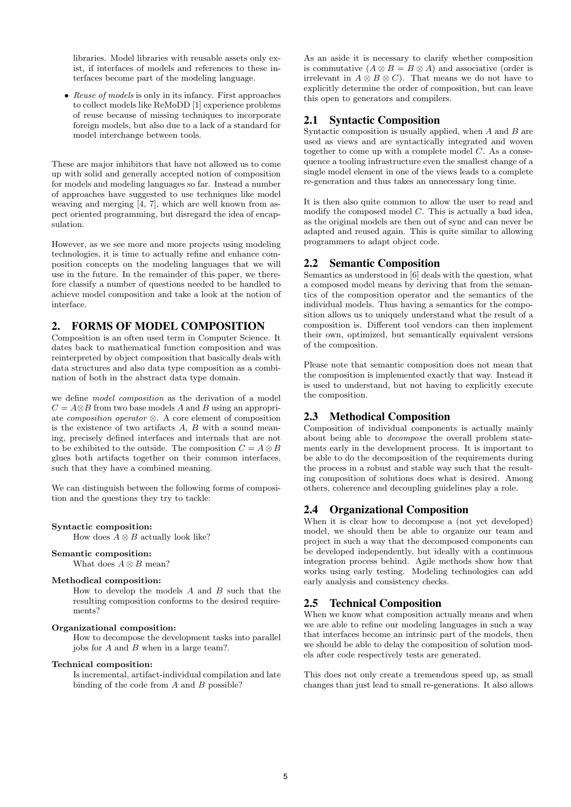libraries. Model libraries with reusable assets only exist, if interfaces of models and references to these interfaces become part of the modeling language.

• Reuse of models is only in its infancy. First approaches to collect models like ReMoDD [1] experience problems of reuse because of missing techniques to incorporate foreign models, but also due to a lack of a standard for model interchange between tools.

These are major inhibitors that have not allowed us to come up with solid and generally accepted notion of composition for models and modeling languages so far. Instead a number of approaches have suggested to use techniques like model weaving and merging [4, 7], which are well known from aspect oriented programming, but disregard the idea of encapsulation.

However, as we see more and more projects using modeling technologies, it is time to actually refine and enhance composition concepts on the modeling languages that we will use in the future. In the remainder of this paper, we therefore classify a number of questions needed to be handled to achieve model composition and take a look at the notion of interface.

## 2. FORMS OF MODEL COMPOSITION

Composition is an often used term in Computer Science. It dates back to mathematical function composition and was reinterpreted by object composition that basically deals with data structures and also data type composition as a combination of both in the abstract data type domain.

we define model composition as the derivation of a model  $C = A \otimes B$  from two base models A and B using an appropriate composition operator ⊗. A core element of composition is the existence of two artifacts  $A, B$  with a sound meaning, precisely defined interfaces and internals that are not to be exhibited to the outside. The composition  $C = A \otimes B$ glues both artifacts together on their common interfaces, such that they have a combined meaning.

We can distinguish between the following forms of composition and the questions they try to tackle:

#### Syntactic composition:

How does  $A \otimes B$  actually look like?

#### Semantic composition:

What does  $A \otimes B$  mean?

#### Methodical composition:

How to develop the models  $A$  and  $B$  such that the resulting composition conforms to the desired requirements?

#### Organizational composition:

How to decompose the development tasks into parallel jobs for A and B when in a large team?.

#### Technical composition:

Is incremental, artifact-individual compilation and late binding of the code from  $A$  and  $B$  possible?

As an aside it is necessary to clarify whether composition is commutative  $(A \otimes B = B \otimes A)$  and associative (order is irrelevant in  $A \otimes B \otimes C$ . That means we do not have to explicitly determine the order of composition, but can leave this open to generators and compilers.

## 2.1 Syntactic Composition

Syntactic composition is usually applied, when  $A$  and  $B$  are used as views and are syntactically integrated and woven together to come up with a complete model  $C$ . As a consequence a tooling infrastructure even the smallest change of a single model element in one of the views leads to a complete re-generation and thus takes an unnecessary long time.

It is then also quite common to allow the user to read and modify the composed model C. This is actually a bad idea, as the original models are then out of sync and can never be adapted and reused again. This is quite similar to allowing programmers to adapt object code.

## 2.2 Semantic Composition

Semantics as understood in [6] deals with the question, what a composed model means by deriving that from the semantics of the composition operator and the semantics of the individual models. Thus having a semantics for the composition allows us to uniquely understand what the result of a composition is. Different tool vendors can then implement their own, optimized, but semantically equivalent versions of the composition.

Please note that semantic composition does not mean that the composition is implemented exactly that way. Instead it is used to understand, but not having to explicitly execute the composition.

## 2.3 Methodical Composition

Composition of individual components is actually mainly about being able to decompose the overall problem statements early in the development process. It is important to be able to do the decomposition of the requirements during the process in a robust and stable way such that the resulting composition of solutions does what is desired. Among others, coherence and decoupling guidelines play a role.

## 2.4 Organizational Composition

When it is clear how to decompose a (not yet developed) model, we should then be able to organize our team and project in such a way that the decomposed components can be developed independently, but ideally with a continuous integration process behind. Agile methods show how that works using early testing. Modeling technologies can add early analysis and consistency checks.

## 2.5 Technical Composition

When we know what composition actually means and when we are able to refine our modeling languages in such a way that interfaces become an intrinsic part of the models, then we should be able to delay the composition of solution models after code respectively tests are generated.

This does not only create a tremendous speed up, as small changes than just lead to small re-generations. It also allows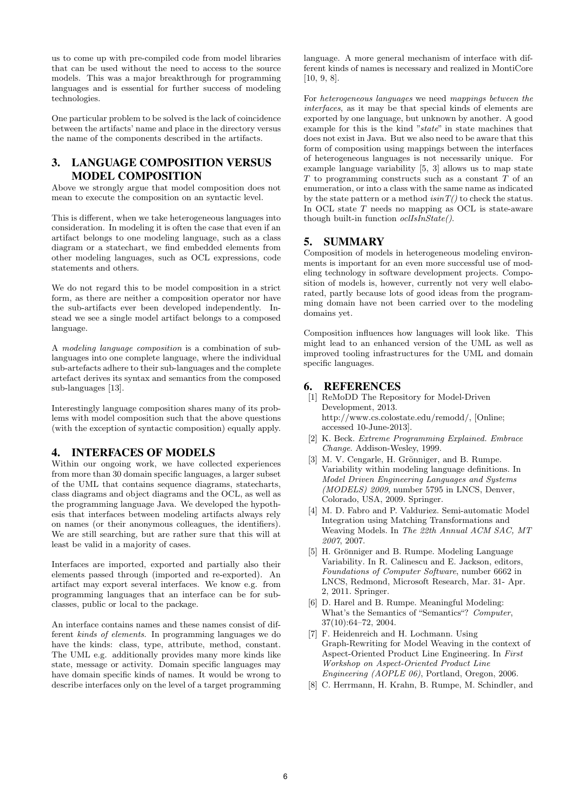us to come up with pre-compiled code from model libraries that can be used without the need to access to the source models. This was a major breakthrough for programming languages and is essential for further success of modeling technologies.

One particular problem to be solved is the lack of coincidence between the artifacts' name and place in the directory versus the name of the components described in the artifacts.

# 3. LANGUAGE COMPOSITION VERSUS MODEL COMPOSITION

Above we strongly argue that model composition does not mean to execute the composition on an syntactic level.

This is different, when we take heterogeneous languages into consideration. In modeling it is often the case that even if an artifact belongs to one modeling language, such as a class diagram or a statechart, we find embedded elements from other modeling languages, such as OCL expressions, code statements and others.

We do not regard this to be model composition in a strict form, as there are neither a composition operator nor have the sub-artifacts ever been developed independently. Instead we see a single model artifact belongs to a composed language.

A modeling language composition is a combination of sublanguages into one complete language, where the individual sub-artefacts adhere to their sub-languages and the complete artefact derives its syntax and semantics from the composed sub-languages [13].

Interestingly language composition shares many of its problems with model composition such that the above questions (with the exception of syntactic composition) equally apply.

# 4. INTERFACES OF MODELS

Within our ongoing work, we have collected experiences from more than 30 domain specific languages, a larger subset of the UML that contains sequence diagrams, statecharts, class diagrams and object diagrams and the OCL, as well as the programming language Java. We developed the hypothesis that interfaces between modeling artifacts always rely on names (or their anonymous colleagues, the identifiers). We are still searching, but are rather sure that this will at least be valid in a majority of cases.

Interfaces are imported, exported and partially also their elements passed through (imported and re-exported). An artifact may export several interfaces. We know e.g. from programming languages that an interface can be for subclasses, public or local to the package.

An interface contains names and these names consist of different kinds of elements. In programming languages we do have the kinds: class, type, attribute, method, constant. The UML e.g. additionally provides many more kinds like state, message or activity. Domain specific languages may have domain specific kinds of names. It would be wrong to describe interfaces only on the level of a target programming language. A more general mechanism of interface with different kinds of names is necessary and realized in MontiCore [10, 9, 8].

For heterogeneous languages we need mappings between the interfaces, as it may be that special kinds of elements are exported by one language, but unknown by another. A good example for this is the kind "state" in state machines that does not exist in Java. But we also need to be aware that this form of composition using mappings between the interfaces of heterogeneous languages is not necessarily unique. For example language variability [5, 3] allows us to map state  $T$  to programming constructs such as a constant  $T$  of an enumeration, or into a class with the same name as indicated by the state pattern or a method  $isin T()$  to check the status. In OCL state  $T$  needs no mapping as OCL is state-aware though built-in function  $ocllsInState$ .

# 5. SUMMARY

Composition of models in heterogeneous modeling environments is important for an even more successful use of modeling technology in software development projects. Composition of models is, however, currently not very well elaborated, partly because lots of good ideas from the programming domain have not been carried over to the modeling domains yet.

Composition influences how languages will look like. This might lead to an enhanced version of the UML as well as improved tooling infrastructures for the UML and domain specific languages.

## 6. REFERENCES

- [1] ReMoDD The Repository for Model-Driven Development, 2013. http://www.cs.colostate.edu/remodd/, [Online; accessed 10-June-2013].
- [2] K. Beck. Extreme Programming Explained. Embrace Change. Addison-Wesley, 1999.
- [3] M. V. Cengarle, H. Grönniger, and B. Rumpe. Variability within modeling language definitions. In Model Driven Engineering Languages and Systems (MODELS) 2009, number 5795 in LNCS, Denver, Colorado, USA, 2009. Springer.
- [4] M. D. Fabro and P. Valduriez. Semi-automatic Model Integration using Matching Transformations and Weaving Models. In The 22th Annual ACM SAC, MT 2007, 2007.
- [5] H. Grönniger and B. Rumpe. Modeling Language Variability. In R. Calinescu and E. Jackson, editors, Foundations of Computer Software, number 6662 in LNCS, Redmond, Microsoft Research, Mar. 31- Apr. 2, 2011. Springer.
- [6] D. Harel and B. Rumpe. Meaningful Modeling: What's the Semantics of "Semantics"? Computer, 37(10):64–72, 2004.
- [7] F. Heidenreich and H. Lochmann. Using Graph-Rewriting for Model Weaving in the context of Aspect-Oriented Product Line Engineering. In First Workshop on Aspect-Oriented Product Line Engineering (AOPLE 06), Portland, Oregon, 2006.
- [8] C. Herrmann, H. Krahn, B. Rumpe, M. Schindler, and